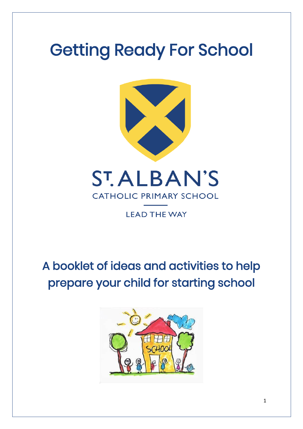# Getting Ready For School



# A booklet of ideas and activities to help prepare your child for starting school

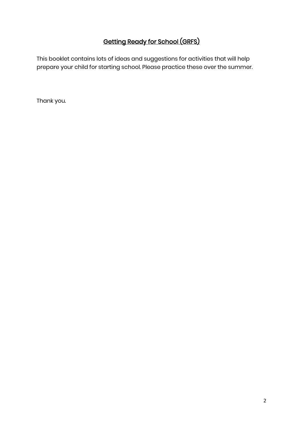# Getting Ready for School (GRFS)

This booklet contains lots of ideas and suggestions for activities that will help prepare your child for starting school. Please practice these over the summer.

Thank you.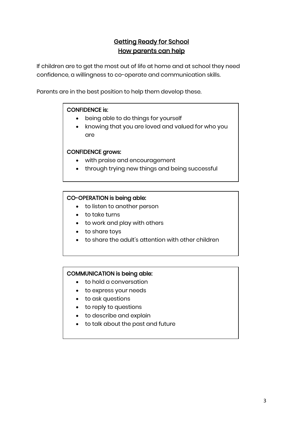# Getting Ready for School How parents can help

If children are to get the most out of life at home and at school they need confidence, a willingness to co-operate and communication skills.

Parents are in the best position to help them develop these.

# CONFIDENCE is:

- being able to do things for yourself
- knowing that you are loved and valued for who you are

#### CONFIDENCE grows:

- with praise and encouragement
- through trying new things and being successful

#### CO-OPERATION is being able:

- to listen to another person
- to take turns
- to work and play with others
- to share toys
- to share the adult's attention with other children

#### COMMUNICATION is being able:

- to hold a conversation
- to express your needs
- to ask questions
- to reply to questions
- to describe and explain
- to talk about the past and future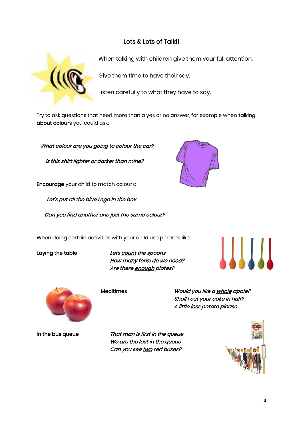# Lots & Lots of Talk!!



When talking with children give them your full attention.

Give them time to have their say.

Listen carefully to what they have to say.

Try to ask questions that need more than a yes or no answer, for example when talking about colours you could ask:

What colour are you going to colour the car?

Is this shirt lighter or darker than mine?

Encourage your child to match colours:

Let's put all the blue Lego in the box

Can you find another one just the same colour?

When doing certain activities with your child use phrases like:

How many forks do we need? Are there enough plates?



Laying the table Lets count the spoons

<u>IIIIII</u>

Mealtimes Would you like a whole apple? Shall I cut your cake in half? A little less potato please

In the bus queue That man is <u>first</u> in the queue We are the <u>last</u> in the queue Can you see two red buses?

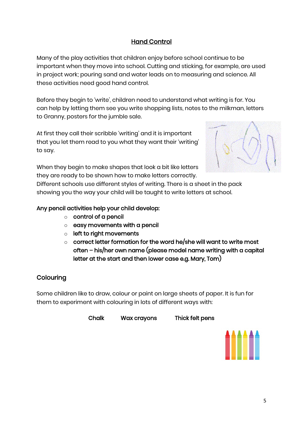# Hand Control

Many of the play activities that children enjoy before school continue to be important when they move into school. Cutting and sticking, for example, are used in project work; pouring sand and water leads on to measuring and science. All these activities need good hand control.

Before they begin to 'write', children need to understand what writing is for. You can help by letting them see you write shopping lists, notes to the milkman, letters to Granny, posters for the jumble sale.

At first they call their scribble 'writing' and it is important that you let them read to you what they want their 'writing' to say.

When they begin to make shapes that look a bit like letters they are ready to be shown how to make letters correctly.

Different schools use different styles of writing. There is a sheet in the pack showing you the way your child will be taught to write letters at school.

#### Any pencil activities help your child develop:

- o control of a pencil
- o easy movements with a pencil
- o left to right movements
- $\circ$  correct letter formation for the word he/she will want to write most often – his/her own name (please model name writing with a capital letter at the start and then lower case e.g. Mary, Tom)

# Colouring

Some children like to draw, colour or paint on large sheets of paper. It is fun for them to experiment with colouring in lots of different ways with:

Chalk Wax crayons Thick felt pens





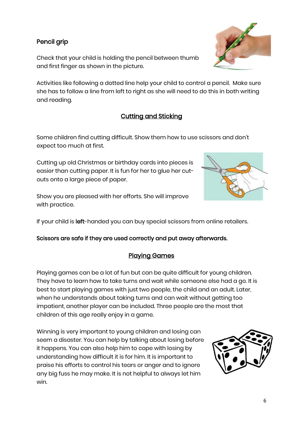# Pencil grip

Check that your child is holding the pencil between thumb and first finger as shown in the picture.

Activities like following a dotted line help your child to control a pencil. Make sure she has to follow a line from left to right as she will need to do this in both writing and reading.

# Cutting and Sticking

Some children find cutting difficult. Show them how to use scissors and don't expect too much at first.

Cutting up old Christmas or birthday cards into pieces is easier than cutting paper. It is fun for her to glue her cutouts onto a large piece of paper.

Show you are pleased with her efforts. She will improve with practice.

If your child is left-handed you can buy special scissors from online retailers.

#### Scissors are safe if they are used correctly and put away afterwards.

# Playing Games

Playing games can be a lot of fun but can be quite difficult for young children. They have to learn how to take turns and wait while someone else had a go. It is best to start playing games with just two people, the child and an adult. Later, when he understands about taking turns and can wait without getting too impatient, another player can be included. Three people are the most that children of this age really enjoy in a game.

Winning is very important to young children and losing can seem a disaster. You can help by talking about losing before it happens. You can also help him to cope with losing by understanding how difficult it is for him. It is important to praise his efforts to control his tears or anger and to ignore any big fuss he may make. It is not helpful to always let him win.





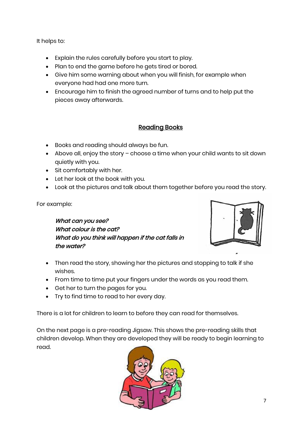It helps to:

- Explain the rules carefully before you start to play.
- Plan to end the game before he gets tired or bored.
- Give him some warning about when you will finish, for example when everyone had had one more turn.
- Encourage him to finish the agreed number of turns and to help put the pieces away afterwards.

# Reading Books

- Books and reading should always be fun.
- Above all, enjoy the story choose a time when your child wants to sit down quietly with you.
- Sit comfortably with her.
- Let her look at the book with you.
- Look at the pictures and talk about them together before you read the story.

For example:

What can you see? What colour is the cat? What do you think will happen if the cat falls in the water?



- Then read the story, showing her the pictures and stopping to talk if she wishes.
- From time to time put your fingers under the words as you read them.
- Get her to turn the pages for you.
- Try to find time to read to her every day.

There is a lot for children to learn to before they can read for themselves.

On the next page is a pre-reading Jigsaw. This shows the pre-reading skills that children develop. When they are developed they will be ready to begin learning to read.